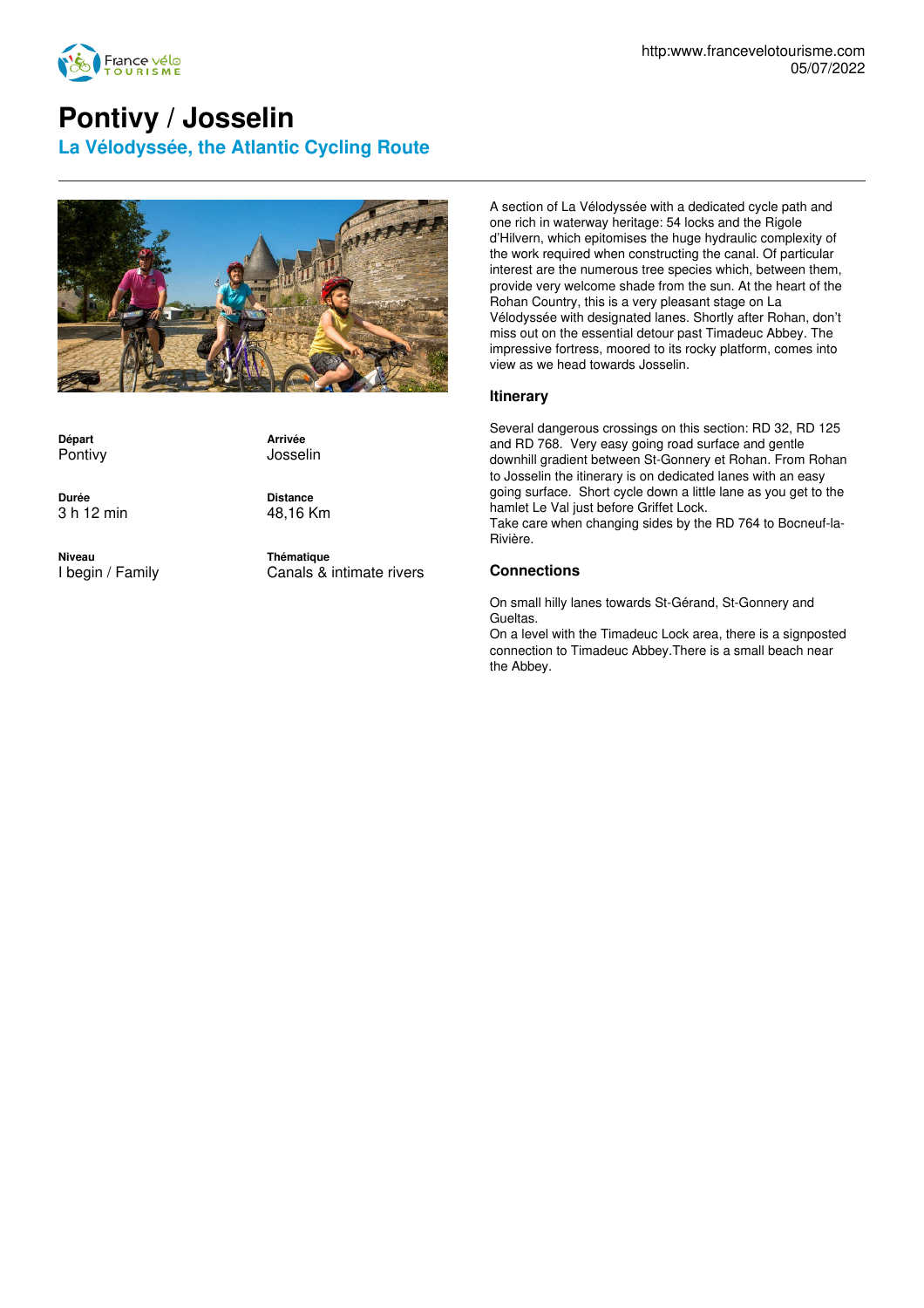

## **Pontivy / Josselin**

**La Vélodyssée, the Atlantic Cycling Route**



**Départ** Pontivy

**Arrivée** Josselin

**Durée** 3 h 12 min **Distance** 48,16 Km

**Niveau** I begin / Family **Thématique** Canals & intimate rivers

A section of La Vélodyssée with a dedicated cycle path and one rich in waterway heritage: 54 locks and the Rigole d'Hilvern, which epitomises the huge hydraulic complexity of the work required when constructing the canal. Of particular interest are the numerous tree species which, between them, provide very welcome shade from the sun. At the heart of the Rohan Country, this is a very pleasant stage on La Vélodyssée with designated lanes. Shortly after Rohan, don't miss out on the essential detour past Timadeuc Abbey. The impressive fortress, moored to its rocky platform, comes into view as we head towards Josselin.

## **Itinerary**

Several dangerous crossings on this section: RD 32, RD 125 and RD 768. Very easy going road surface and gentle downhill gradient between St-Gonnery et Rohan. From Rohan to Josselin the itinerary is on dedicated lanes with an easy going surface. Short cycle down a little lane as you get to the hamlet Le Val just before Griffet Lock. Take care when changing sides by the RD 764 to Bocneuf-la-Rivière.

## **Connections**

On small hilly lanes towards St-Gérand, St-Gonnery and Gueltas.

On a level with the Timadeuc Lock area, there is a signposted connection to Timadeuc Abbey.There is a small beach near the Abbey.